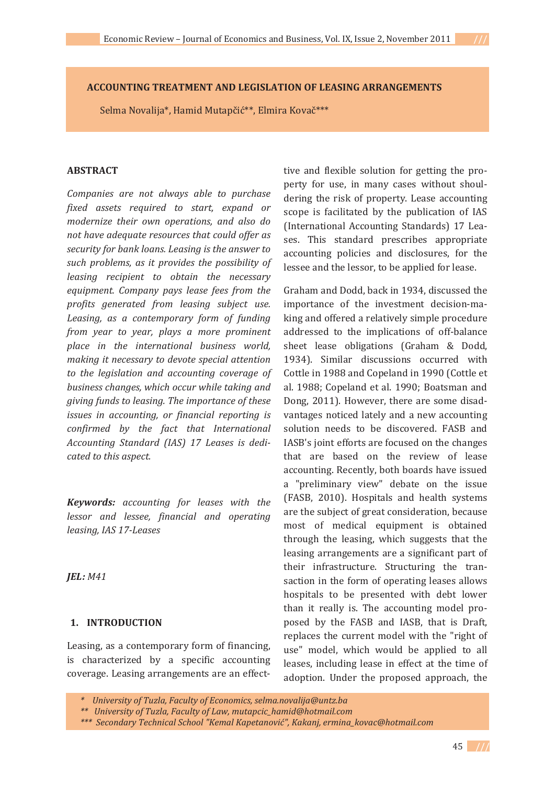**ACCOUNTING TREATMENT AND LEGISLATION OF LEASING ARRANGEMENTS**

Selma Novalija\*, Hamid Mutapčić\*\*, Elmira Kovač\*\*\*

### **ABSTRACT**

*Companies are not always able to purchase fixed assets required to start, expand or modernize their own operations, and also do not have adequate resources that could offer as security for bank loans. Leasing is the answer to such problems, as it provides the possibility of leasing recipient to obtain the necessary equipment. Company pays lease fees from the profits generated from leasing subject use. Leasing, as a contemporary form of funding from year to year, plays a more prominent place in the international business world, making it necessary to devote special attention to the legislation and accounting coverage of business changes, which occur while taking and giving funds to leasing. The importance of these issues in accounting, or financial reporting is confirmed by the fact that International Accounting Standard (IAS) 17 Leases is dediǦ cated to this aspect.*

*Keywords: accounting for leases with the lessor and lessee, financial and operating leasing, IAS 17ǦLeases*

*JEL: M41*

#### **1. INTRODUCTION**

Leasing, as a contemporary form of financing, is characterized by a specific accounting coverage. Leasing arrangements are an effecttive and flexible solution for getting the property for use, in many cases without shouldering the risk of property. Lease accounting scope is facilitated by the publication of IAS (International Accounting Standards) 17 Leases. This standard prescribes appropriate accounting policies and disclosures, for the lessee and the lessor, to be applied for lease.

Graham and Dodd, back in 1934, discussed the importance of the investment decision-making and offered a relatively simple procedure addressed to the implications of off-balance sheet lease obligations (Graham & Dodd, 1934). Similar discussions occurred with Cottle in 1988 and Copeland in 1990 (Cottle et al. 1988; Copeland et al. 1990; Boatsman and Dong, 2011). However, there are some disadvantages noticed lately and a new accounting solution needs to be discovered. FASB and IASB's joint efforts are focused on the changes that are based on the review of lease accounting. Recently, both boards have issued a "preliminary view" debate on the issue (FASB, 2010). Hospitals and health systems are the subject of great consideration, because most of medical equipment is obtained through the leasing, which suggests that the leasing arrangements are a significant part of their infrastructure. Structuring the transaction in the form of operating leases allows hospitals to be presented with debt lower than it really is. The accounting model proposed by the FASB and IASB, that is Draft, replaces the current model with the "right of use" model, which would be applied to all leases, including lease in effect at the time of adoption. Under the proposed approach, the

*<sup>\*</sup>University of Tuzla, Faculty of Economics, selma.novalija@untz.ba*

*<sup>\*\*</sup>University of Tuzla, Faculty of Law, mutapcic\_hamid@hotmail.com*

*<sup>\*\*\*</sup>Secondary Technical School "Kemal Kapetanovi©", Kakanj, ermina\_kovac@hotmail.com*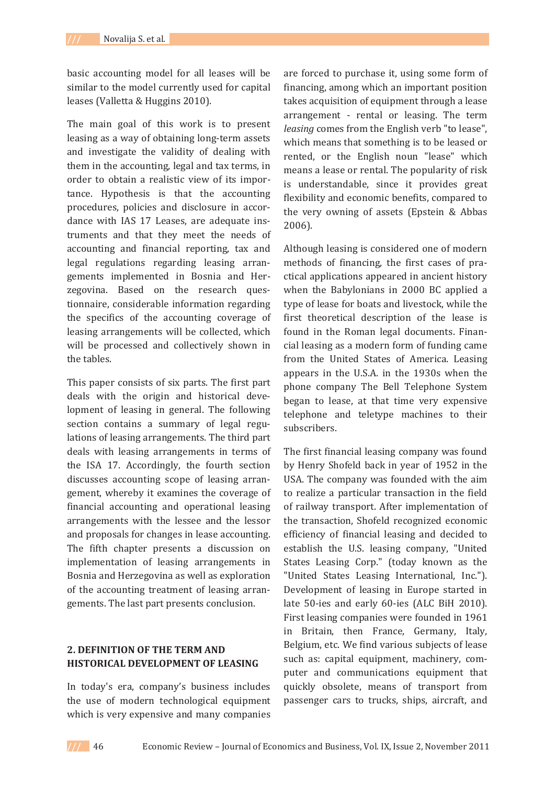basic accounting model for all leases will be similar to the model currently used for capital leases (Valletta & Huggins 2010).

The main goal of this work is to present leasing as a way of obtaining long-term assets and investigate the validity of dealing with them in the accounting, legal and tax terms, in order to obtain a realistic view of its importance. Hypothesis is that the accounting procedures, policies and disclosure in accordance with IAS 17 Leases, are adequate instruments and that they meet the needs of accounting and financial reporting, tax and legal regulations regarding leasing arrangements implemented in Bosnia and Herzegovina. Based on the research questionnaire, considerable information regarding the specifics of the accounting coverage of leasing arrangements will be collected, which will be processed and collectively shown in the tables.

This paper consists of six parts. The first part deals with the origin and historical development of leasing in general. The following section contains a summary of legal regulations of leasing arrangements. The third part deals with leasing arrangements in terms of the ISA 17. Accordingly, the fourth section discusses accounting scope of leasing arrangement, whereby it examines the coverage of financial accounting and operational leasing arrangements with the lessee and the lessor and proposals for changes in lease accounting. The fifth chapter presents a discussion on implementation of leasing arrangements in Bosnia and Herzegovina as well as exploration of the accounting treatment of leasing arrangements. The last part presents conclusion.

## **2. DEFINITION OF THE TERM AND HISTORICAL DEVELOPMENT OF LEASING**

In today's era, company's business includes the use of modern technological equipment which is very expensive and many companies

are forced to purchase it, using some form of financing, among which an important position takes acquisition of equipment through a lease arrangement - rental or leasing. The term *leasing* comes from the English verb "to lease". which means that something is to be leased or rented, or the English noun "lease" which means a lease or rental. The popularity of risk is understandable, since it provides great flexibility and economic benefits, compared to the very owning of assets (Epstein & Abbas  $2006$ ).

Although leasing is considered one of modern methods of financing, the first cases of practical applications appeared in ancient history when the Babylonians in 2000 BC applied a type of lease for boats and livestock, while the first theoretical description of the lease is found in the Roman legal documents. Financial leasing as a modern form of funding came from the United States of America. Leasing appears in the U.S.A. in the 1930s when the phone company The Bell Telephone System began to lease, at that time very expensive telephone and teletype machines to their subscribers.

The first financial leasing company was found by Henry Shofeld back in year of 1952 in the USA. The company was founded with the aim to realize a particular transaction in the field of railway transport. After implementation of the transaction, Shofeld recognized economic efficiency of financial leasing and decided to establish the U.S. leasing company, "United States Leasing Corp." (today known as the "United States Leasing International, Inc."). Development of leasing in Europe started in late 50-ies and early 60-ies (ALC BiH 2010). First leasing companies were founded in 1961 in Britain, then France, Germany, Italy, Belgium, etc. We find various subjects of lease such as: capital equipment, machinery, computer and communications equipment that quickly obsolete, means of transport from passenger cars to trucks, ships, aircraft, and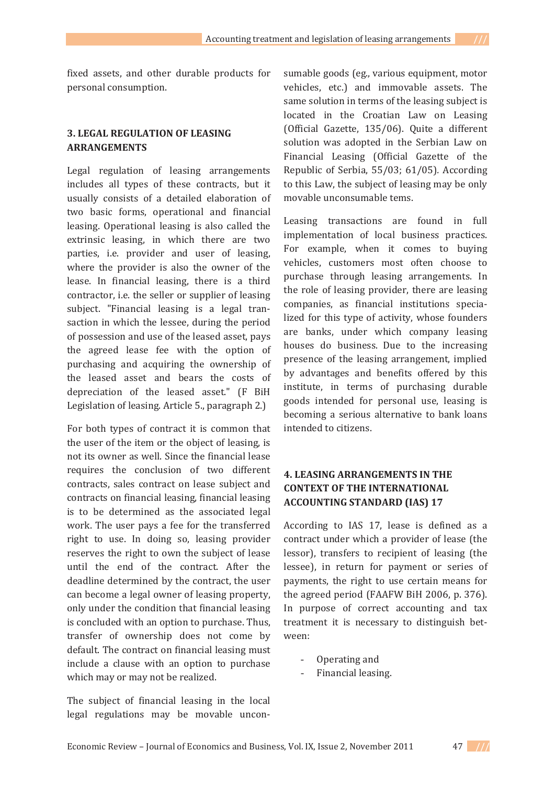fixed assets, and other durable products for personal consumption.

### **3. LEGAL REGULATION OF LEASING ARRANGEMENTS**

Legal regulation of leasing arrangements includes all types of these contracts, but it usually consists of a detailed elaboration of two basic forms, operational and financial leasing. Operational leasing is also called the extrinsic leasing, in which there are two parties, i.e. provider and user of leasing, where the provider is also the owner of the lease. In financial leasing, there is a third contractor, *i.e.* the seller or supplier of leasing subject. "Financial leasing is a legal transaction in which the lessee, during the period of possession and use of the leased asset, pays the agreed lease fee with the option of purchasing and acquiring the ownership of the leased asset and bears the costs of depreciation of the leased asset." (F BiH Legislation of leasing. Article 5., paragraph 2.)

For both types of contract it is common that the user of the item or the object of leasing, is not its owner as well. Since the financial lease requires the conclusion of two different contracts, sales contract on lease subject and contracts on financial leasing, financial leasing is to be determined as the associated legal work. The user pays a fee for the transferred right to use. In doing so, leasing provider reserves the right to own the subject of lease until the end of the contract. After the deadline determined by the contract, the user can become a legal owner of leasing property, only under the condition that financial leasing is concluded with an option to purchase. Thus, transfer of ownership does not come by default. The contract on financial leasing must include a clause with an option to purchase which may or may not be realized.

The subject of financial leasing in the local legal regulations may be movable unconsumable goods (eg., various equipment, motor vehicles, etc.) and immovable assets. The same solution in terms of the leasing subject is located in the Croatian Law on Leasing (Official Gazette, 135/06). Quite a different solution was adopted in the Serbian Law on Financial Leasing (Official Gazette of the Republic of Serbia, 55/03; 61/05). According to this Law, the subject of leasing may be only movable unconsumable tems.

Leasing transactions are found in full implementation of local business practices. For example, when it comes to buying vehicles, customers most often choose to purchase through leasing arrangements. In the role of leasing provider, there are leasing companies, as financial institutions specialized for this type of activity, whose founders are banks, under which company leasing houses do business. Due to the increasing presence of the leasing arrangement, implied by advantages and benefits offered by this institute, in terms of purchasing durable goods intended for personal use, leasing is becoming a serious alternative to bank loans intended to citizens.

# **4. LEASING ARRANGEMENTS IN THE CONTEXT OF THE INTERNATIONAL ACCOUNTING STANDARD (IAS) 17**

According to IAS 17, lease is defined as a contract under which a provider of lease (the lessor), transfers to recipient of leasing (the lessee), in return for payment or series of payments, the right to use certain means for the agreed period (FAAFW BiH 2006, p. 376). In purpose of correct accounting and tax treatment it is necessary to distinguish between:

- Operating and
- Financial leasing.

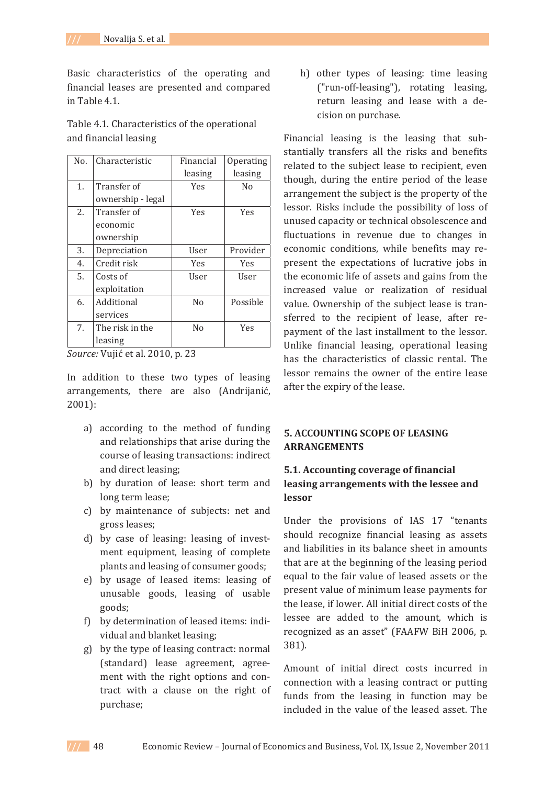Basic characteristics of the operating and financial leases are presented and compared in Tahle 41

| Table 4.1. Characteristics of the operational |  |
|-----------------------------------------------|--|
| and financial leasing                         |  |

| N <sub>0</sub> . | Characteristic    | Financial  | Operating  |
|------------------|-------------------|------------|------------|
|                  |                   | leasing    | leasing    |
| 1.               | Transfer of       | Yes        | No         |
|                  | ownership - legal |            |            |
| 2.               | Transfer of       | <b>Yes</b> | <b>Yes</b> |
|                  | economic          |            |            |
|                  | ownership         |            |            |
| 3.               | Depreciation      | User       | Provider   |
| 4.               | Credit risk       | <b>Yes</b> | <b>Yes</b> |
| 5.               | Costs of          | User       | User       |
|                  | exploitation      |            |            |
| 6.               | Additional        | No         | Possible   |
|                  | services          |            |            |
| 7.               | The risk in the   | No         | <b>Yes</b> |
|                  | leasing           |            |            |

*Source:* Vujić et al. 2010, p. 23

In addition to these two types of leasing arrangements, there are also (Andrijanić,  $2001$ :

- a) according to the method of funding and relationships that arise during the course of leasing transactions: indirect and direct leasing:
- b) by duration of lease: short term and long term lease;
- c) by maintenance of subjects: net and gross leases;
- d) by case of leasing: leasing of investment equipment, leasing of complete plants and leasing of consumer goods;
- e) by usage of leased items: leasing of unusable goods, leasing of usable goods:
- f) by determination of leased items: individual and blanket leasing;
- g) by the type of leasing contract: normal (standard) lease agreement, agreement with the right options and contract with a clause on the right of purchase;

h) other types of leasing: time leasing ("run-off-leasing"), rotating leasing, return leasing and lease with a decision on purchase.

Financial leasing is the leasing that substantially transfers all the risks and benefits related to the subject lease to recipient, even though, during the entire period of the lease arrangement the subject is the property of the lessor. Risks include the possibility of loss of unused capacity or technical obsolescence and fluctuations in revenue due to changes in economic conditions, while benefits may represent the expectations of lucrative jobs in the economic life of assets and gains from the increased value or realization of residual value. Ownership of the subject lease is transferred to the recipient of lease, after repayment of the last installment to the lessor. Unlike financial leasing, operational leasing has the characteristics of classic rental. The lessor remains the owner of the entire lease after the expiry of the lease.

### **5. ACCOUNTING SCOPE OF LEASING ARRANGEMENTS**

## **5.1. Accounting coverage of financial leasing arrangements with the lessee and lessor**

Under the provisions of IAS 17 "tenants should recognize financial leasing as assets and liabilities in its balance sheet in amounts that are at the beginning of the leasing period equal to the fair value of leased assets or the present value of minimum lease payments for the lease, if lower. All initial direct costs of the lessee are added to the amount, which is recognized as an asset" (FAAFW BiH 2006, p.  $381$ ).

Amount of initial direct costs incurred in connection with a leasing contract or putting funds from the leasing in function may be included in the value of the leased asset. The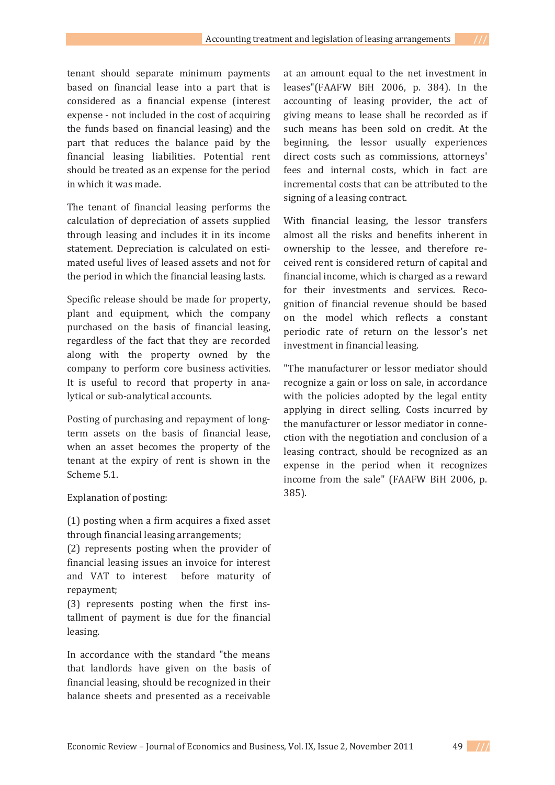tenant should separate minimum payments based on financial lease into a part that is considered as a financial expense (interest expense - not included in the cost of acquiring the funds based on financial leasing) and the part that reduces the balance paid by the financial leasing liabilities. Potential rent should be treated as an expense for the period in which it was made.

The tenant of financial leasing performs the calculation of depreciation of assets supplied through leasing and includes it in its income statement. Depreciation is calculated on estimated useful lives of leased assets and not for the period in which the financial leasing lasts.

Specific release should be made for property, plant and equipment, which the company purchased on the basis of financial leasing. regardless of the fact that they are recorded along with the property owned by the company to perform core business activities. It is useful to record that property in analytical or sub-analytical accounts.

Posting of purchasing and repayment of longterm assets on the basis of financial lease, when an asset becomes the property of the tenant at the expiry of rent is shown in the Scheme 5.1.

Explanation of posting:

(1) posting when a firm acquires a fixed asset through financial leasing arrangements;

(2) represents posting when the provider of financial leasing issues an invoice for interest and VAT to interest before maturity of repayment;

(3) represents posting when the first installment of payment is due for the financial leasing.

In accordance with the standard "the means that landlords have given on the basis of financial leasing, should be recognized in their balance sheets and presented as a receivable

at an amount equal to the net investment in leases"(FAAFW BiH 2006, p. 384). In the accounting of leasing provider, the act of giving means to lease shall be recorded as if such means has been sold on credit. At the beginning, the lessor usually experiences direct costs such as commissions, attorneys' fees and internal costs, which in fact are incremental costs that can be attributed to the signing of a leasing contract.

With financial leasing, the lessor transfers almost all the risks and benefits inherent in ownership to the lessee, and therefore received rent is considered return of capital and financial income, which is charged as a reward for their investments and services. Recognition of financial revenue should be based on the model which reflects a constant periodic rate of return on the lessor's net investment in financial leasing.

"The manufacturer or lessor mediator should recognize a gain or loss on sale, in accordance with the policies adopted by the legal entity applying in direct selling. Costs incurred by the manufacturer or lessor mediator in connection with the negotiation and conclusion of a leasing contract, should be recognized as an expense in the period when it recognizes income from the sale" (FAAFW BiH 2006, p.  $385$ ).

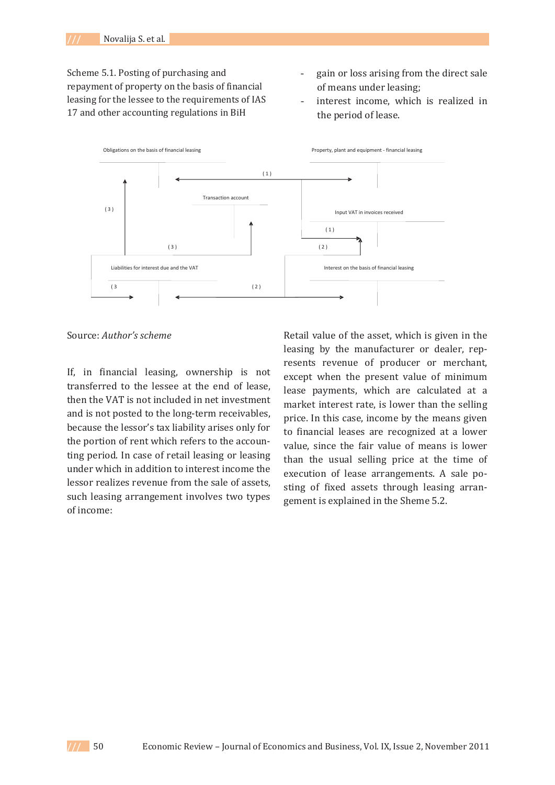Scheme 5.1. Posting of purchasing and repayment of property on the basis of financial leasing for the lessee to the requirements of IAS 17 and other accounting regulations in BiH

- gain or loss arising from the direct sale of means under leasing;
- interest income, which is realized in the period of lease.



ǣ*Author's scheme*

If, in financial leasing, ownership is not transferred to the lessee at the end of lease. then the VAT is not included in net investment and is not posted to the long-term receivables, because the lessor's tax liability arises only for the portion of rent which refers to the accounting period. In case of retail leasing or leasing under which in addition to interest income the lessor realizes revenue from the sale of assets, such leasing arrangement involves two types of income:

Retail value of the asset, which is given in the leasing by the manufacturer or dealer, represents revenue of producer or merchant, except when the present value of minimum lease payments, which are calculated at a market interest rate, is lower than the selling price. In this case, income by the means given to financial leases are recognized at a lower value, since the fair value of means is lower than the usual selling price at the time of execution of lease arrangements. A sale posting of fixed assets through leasing arrangement is explained in the Sheme 5.2.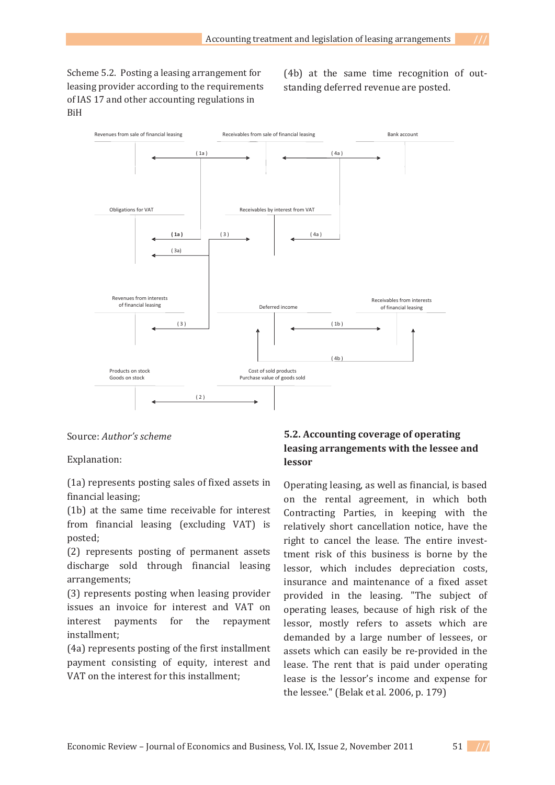Scheme 5.2. Posting a leasing arrangement for leasing provider according to the requirements of IAS 17 and other accounting regulations in **BiH** 

(4b) at the same time recognition of outstanding deferred revenue are posted.



ǣ *Author's scheme*

Explanation:

(1a) represents posting sales of fixed assets in financial leasing:

(1b) at the same time receivable for interest from financial leasing (excluding VAT) is posted:

(2) represents posting of permanent assets discharge sold through financial leasing arrangements;

(3) represents posting when leasing provider issues an invoice for interest and VAT on interest payments for the repayment installment;

(4a) represents posting of the first installment payment consisting of equity, interest and VAT on the interest for this installment:

# **5.2. Accounting coverage of operating leasing arrangements with the lessee and lessor**

Operating leasing, as well as financial, is based on the rental agreement, in which both Contracting Parties, in keeping with the relatively short cancellation notice, have the right to cancel the lease. The entire investtment risk of this business is borne by the lessor, which includes depreciation costs, insurance and maintenance of a fixed asset provided in the leasing. "The subject of operating leases, because of high risk of the lessor, mostly refers to assets which are demanded by a large number of lessees, or assets which can easily be re-provided in the lease. The rent that is paid under operating lease is the lessor's income and expense for the lessee." (Belak et al. 2006, p. 179)

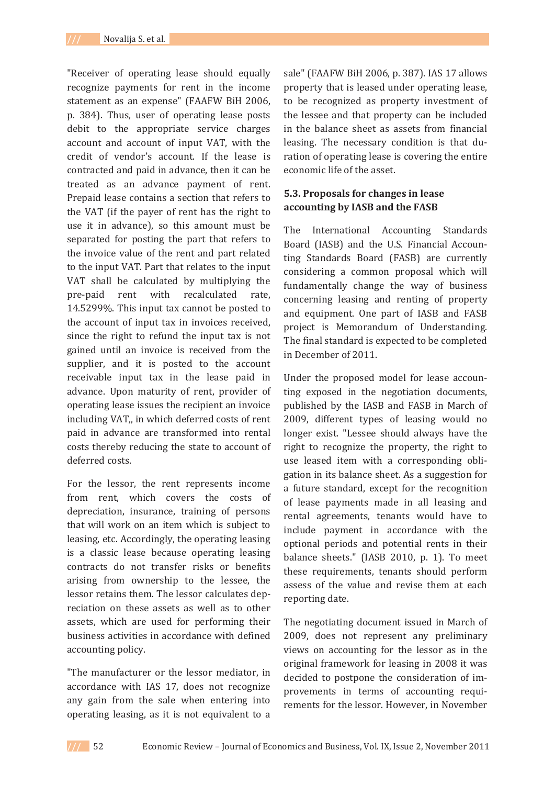"Receiver of operating lease should equally recognize payments for rent in the income statement as an expense" (FAAFW BiH 2006, p. 384). Thus, user of operating lease posts debit to the appropriate service charges account and account of input VAT, with the credit of vendor's account. If the lease is contracted and paid in advance, then it can be treated as an advance payment of rent. Prepaid lease contains a section that refers to the VAT (if the payer of rent has the right to use it in advance), so this amount must be separated for posting the part that refers to the invoice value of the rent and part related to the input VAT. Part that relates to the input VAT shall be calculated by multiplying the pre-paid rent with recalculated rate. 14.5299%. This input tax cannot be posted to the account of input tax in invoices received. since the right to refund the input tax is not gained until an invoice is received from the supplier, and it is posted to the account receivable input tax in the lease paid in advance. Upon maturity of rent, provider of operating lease issues the recipient an invoice including VAT, in which deferred costs of rent paid in advance are transformed into rental costs thereby reducing the state to account of deferred costs.

For the lessor, the rent represents income from rent, which covers the costs of depreciation, insurance, training of persons that will work on an item which is subject to leasing, etc. Accordingly, the operating leasing is a classic lease because operating leasing contracts do not transfer risks or benefits arising from ownership to the lessee, the lessor retains them. The lessor calculates depreciation on these assets as well as to other assets, which are used for performing their business activities in accordance with defined accounting policy.

"The manufacturer or the lessor mediator, in accordance with IAS 17, does not recognize any gain from the sale when entering into operating leasing, as it is not equivalent to a

sale" (FAAFW BiH 2006, p. 387). IAS 17 allows property that is leased under operating lease, to be recognized as property investment of the lessee and that property can be included in the balance sheet as assets from financial leasing. The necessary condition is that duration of operating lease is covering the entire economic life of the asset.

### **5.3. Proposals for changes in lease accounting by IASB and the FASB**

The International Accounting Standards Board (IASB) and the U.S. Financial Accounting Standards Board (FASB) are currently considering a common proposal which will fundamentally change the way of business concerning leasing and renting of property and equipment. One part of IASB and FASB project is Memorandum of Understanding. The final standard is expected to be completed in December of 2011.

Under the proposed model for lease accounting exposed in the negotiation documents, published by the IASB and FASB in March of 2009, different types of leasing would no longer exist. "Lessee should always have the right to recognize the property, the right to use leased item with a corresponding obligation in its balance sheet. As a suggestion for a future standard, except for the recognition of lease payments made in all leasing and rental agreements, tenants would have to include payment in accordance with the optional periods and potential rents in their balance sheets." (IASB 2010, p. 1). To meet these requirements, tenants should perform assess of the value and revise them at each reporting date.

The negotiating document issued in March of 2009, does not represent any preliminary views on accounting for the lessor as in the original framework for leasing in 2008 it was decided to postpone the consideration of improvements in terms of accounting requirements for the lessor. However, in November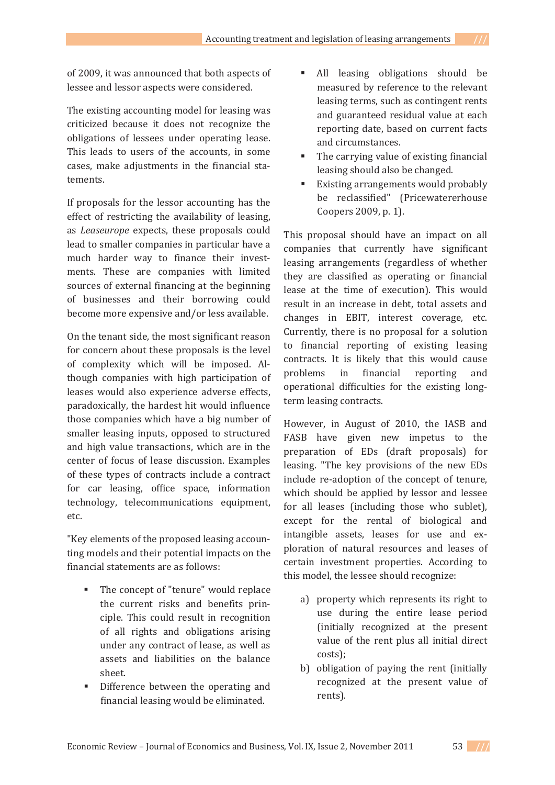of 2009, it was announced that both aspects of lessee and lessor aspects were considered.

The existing accounting model for leasing was criticized because it does not recognize the obligations of lessees under operating lease. This leads to users of the accounts, in some cases, make adjustments in the financial statements.

If proposals for the lessor accounting has the effect of restricting the availability of leasing. as *Leaseurope* expects, these proposals could lead to smaller companies in particular have a much harder way to finance their investments. These are companies with limited sources of external financing at the beginning of businesses and their borrowing could become more expensive and/or less available.

On the tenant side, the most significant reason for concern about these proposals is the level of complexity which will be imposed. Although companies with high participation of leases would also experience adverse effects, paradoxically, the hardest hit would influence those companies which have a big number of smaller leasing inputs, opposed to structured and high value transactions, which are in the center of focus of lease discussion. Examples of these types of contracts include a contract for car leasing, office space, information technology, telecommunications equipment, etc.

"Key elements of the proposed leasing accounting models and their potential impacts on the financial statements are as follows:

- The concept of "tenure" would replace the current risks and benefits principle. This could result in recognition of all rights and obligations arising under any contract of lease, as well as assets and liabilities on the balance sheet.
- Difference between the operating and financial leasing would be eliminated.
- All leasing obligations should be measured by reference to the relevant leasing terms, such as contingent rents and guaranteed residual value at each reporting date, based on current facts and circumstances.
- The carrying value of existing financial leasing should also be changed.
- Existing arrangements would probably be reclassified" (Pricewatererhouse Coopers 2009, p. 1).

This proposal should have an impact on all companies that currently have significant leasing arrangements (regardless of whether they are classified as operating or financial lease at the time of execution). This would result in an increase in debt, total assets and changes in EBIT, interest coverage, etc. Currently, there is no proposal for a solution to financial reporting of existing leasing contracts. It is likely that this would cause problems in financial reporting and operational difficulties for the existing longterm leasing contracts.

However, in August of 2010, the IASB and FASB have given new impetus to the preparation of EDs (draft proposals) for leasing. "The key provisions of the new EDs include re-adoption of the concept of tenure, which should be applied by lessor and lessee for all leases (including those who sublet). except for the rental of biological and intangible assets, leases for use and exploration of natural resources and leases of certain investment properties. According to this model, the lessee should recognize:

- a) property which represents its right to use during the entire lease period (initially recognized at the present value of the rent plus all initial direct costs);
- b) obligation of paying the rent (initially recognized at the present value of rents).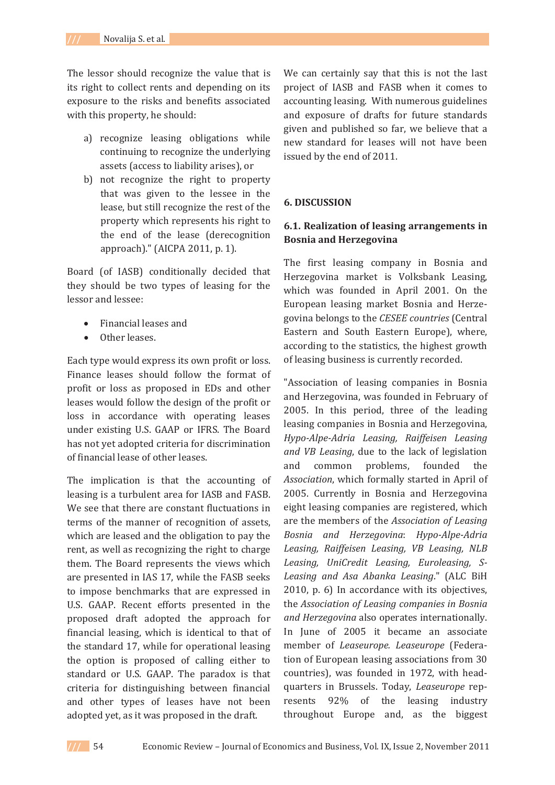The lessor should recognize the value that is its right to collect rents and depending on its exposure to the risks and benefits associated with this property, he should:

- a) recognize leasing obligations while continuing to recognize the underlying assets (access to liability arises), or
- b) not recognize the right to property that was given to the lessee in the lease, but still recognize the rest of the property which represents his right to the end of the lease (derecognition approach)." (AICPA 2011, p. 1).

Board (of IASB) conditionally decided that they should be two types of leasing for the lessor and lessee:

- Financial leases and
- Other leases.

Each type would express its own profit or loss. Finance leases should follow the format of profit or loss as proposed in EDs and other leases would follow the design of the profit or loss in accordance with operating leases under existing U.S. GAAP or IFRS. The Board has not yet adopted criteria for discrimination of financial lease of other leases.

The implication is that the accounting of leasing is a turbulent area for IASB and FASB. We see that there are constant fluctuations in terms of the manner of recognition of assets, which are leased and the obligation to pay the rent, as well as recognizing the right to charge them. The Board represents the views which are presented in IAS 17, while the FASB seeks to impose benchmarks that are expressed in U.S. GAAP. Recent efforts presented in the proposed draft adopted the approach for financial leasing, which is identical to that of the standard 17, while for operational leasing the option is proposed of calling either to standard or U.S. GAAP. The paradox is that criteria for distinguishing between financial and other types of leases have not been adopted yet, as it was proposed in the draft.

We can certainly say that this is not the last project of IASB and FASB when it comes to accounting leasing. With numerous guidelines and exposure of drafts for future standards given and published so far, we believe that a new standard for leases will not have been issued by the end of 2011.

### **6. DISCUSSION**

### **6.1. Realization of leasing arrangements in Bosnia and Herzegovina**

The first leasing company in Bosnia and Herzegovina market is Volksbank Leasing, which was founded in April 2001. On the European leasing market Bosnia and Herzegovina belongs to the CESEE countries (Central Eastern and South Eastern Europe), where, according to the statistics, the highest growth of leasing business is currently recorded.

"Association of leasing companies in Bosnia and Herzegovina, was founded in February of 2005. In this period, three of the leading leasing companies in Bosnia and Herzegovina, *HypoǦAlpeǦAdria Leasing, Raiffeisen Leasing and VB Leasing*, due to the lack of legislation and common problems. founded the Association, which formally started in April of 2005. Currently in Bosnia and Herzegovina eight leasing companies are registered, which *Association of Leasing Bosnia and Herzegovina*ǣ *HypoǦAlpeǦAdria Leasing, Raiffeisen Leasing, VB Leasing, NLB Leasing, UniCredit Leasing, Euroleasing, SǦ Leasing* and *Asa Abanka Leasing*." (ALC BiH 2010, p. 6) In accordance with its objectives, *Association of Leasing companies in Bosnia and Herzegovina* also operates internationally. In June of 2005 it became an associate member of *Leaseurope. Leaseurope* (Federation of European leasing associations from 30 countries), was founded in 1972, with headquarters in Brussels. Today, Leaseurope represents 92% of the leasing industry throughout Europe and, as the biggest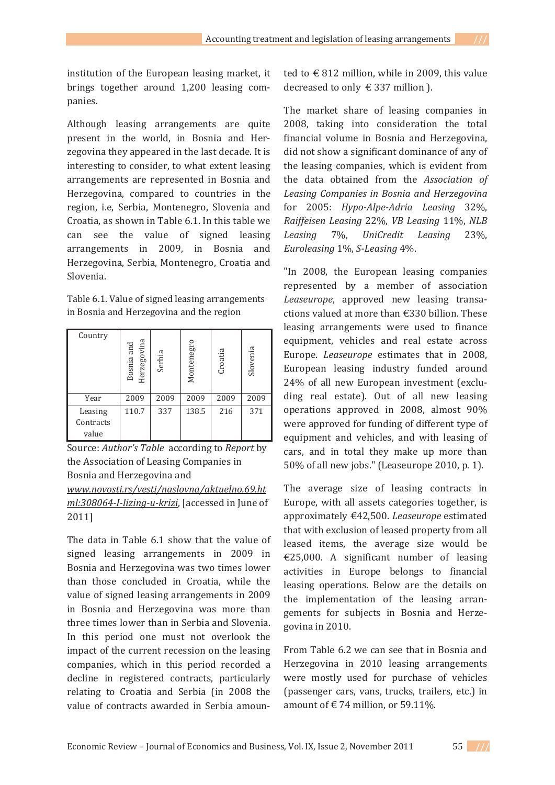institution of the European leasing market, it brings together around 1,200 leasing companies.

Although leasing arrangements are quite present in the world, in Bosnia and Herzegovina they appeared in the last decade. It is interesting to consider, to what extent leasing arrangements are represented in Bosnia and Herzegovina, compared to countries in the region, i.e. Serbia, Montenegro, Slovenia and Croatia, as shown in Table 6.1. In this table we can see the value of signed leasing arrangements in 2009, in Bosnia and Herzegovina, Serbia, Montenegro, Croatia and Slovenia.

Table 6.1. Value of signed leasing arrangements in Bosnia and Herzegovina and the region

| Country                       | Herzegovina<br>Bosnia and | Serbia | Montenegro | Croatia | Slovenia |
|-------------------------------|---------------------------|--------|------------|---------|----------|
| Year                          | 2009                      | 2009   | 2009       | 2009    | 2009     |
| Leasing<br>Contracts<br>value | 110.7                     | 337    | 138.5      | 216     | 371      |

Source: Author's Table according to Report by the Association of Leasing Companies in Bosnia and Herzegovina and

*www.novosti.rs/vesti/naslovna/aktuelno.69.ht ml:308064-I-lizing-u-krizi*, [accessed in June of 2011]

The data in Table 6.1 show that the value of signed leasing arrangements in 2009 in Bosnia and Herzegovina was two times lower than those concluded in Croatia, while the value of signed leasing arrangements in 2009 in Bosnia and Herzegovina was more than three times lower than in Serbia and Slovenia. In this period one must not overlook the impact of the current recession on the leasing companies, which in this period recorded a decline in registered contracts, particularly relating to Croatia and Serbia (in 2008 the value of contracts awarded in Serbia amounted to  $\in$  812 million, while in 2009, this value decreased to only €337 million ).

The market share of leasing companies in 2008, taking into consideration the total financial volume in Bosnia and Herzegovina, did not show a significant dominance of any of the leasing companies, which is evident from the data obtained from the Association of *Leasing Companies in Bosnia and Herzegovina for* 2005: *Hypo-Alpe-Adria Leasing* 32%, *Raiffeisen Leasing* 22%, *VB Leasing* 11%, *NLB Leasing* 7%, *UniCredit Leasing* 23%, *Euroleasing* 1%, *S-Leasing* 4%.

"In 2008, the European leasing companies represented by a member of association *Leaseurope*, approved new leasing transactions valued at more than €330 billion. These leasing arrangements were used to finance equipment, vehicles and real estate across Europe. *Leaseurope* estimates that in 2008, European leasing industry funded around 24% of all new European investment (excluding real estate). Out of all new leasing operations approved in 2008, almost 90% were approved for funding of different type of equipment and vehicles, and with leasing of cars, and in total they make up more than 50% of all new jobs." (Leaseurope 2010, p. 1).

The average size of leasing contracts in Europe, with all assets categories together, is approximately €42,500. Leaseurope estimated that with exclusion of leased property from all leased items, the average size would be  $\epsilon$ 25,000. A significant number of leasing activities in Europe belongs to financial leasing operations. Below are the details on the implementation of the leasing arrangements for subjects in Bosnia and Herzegovina in 2010.

From Table 6.2 we can see that in Bosnia and Herzegovina in 2010 leasing arrangements were mostly used for purchase of vehicles (passenger cars, vans, trucks, trailers, etc.) in amount of  $\in$  74 million, or 59.11%.

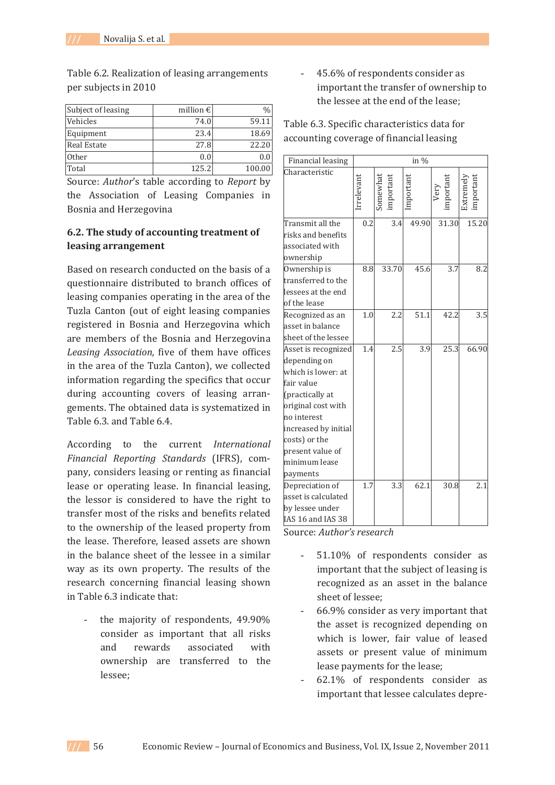Table 6.2. Realization of leasing arrangements per subjects in 2010

| Subject of leasing | million $\epsilon$ |        |
|--------------------|--------------------|--------|
| Vehicles           | 74.0               | 59.11  |
| Equipment          | 23.4               | 18.69  |
| <b>Real Estate</b> | 27.8               | 22.20  |
| Other              | 0.0                |        |
| Total              | 125.2              | 100.00 |

Source: Author's table according to Report by the Association of Leasing Companies in Bosnia and Herzegovina

### **6.2. The study of accounting treatment of leasing arrangement**

Based on research conducted on the basis of a questionnaire distributed to branch offices of leasing companies operating in the area of the Tuzla Canton (out of eight leasing companies registered in Bosnia and Herzegovina which are members of the Bosnia and Herzegovina *Leasing Association,* in the area of the Tuzla Canton), we collected information regarding the specifics that occur during accounting covers of leasing arrangements. The obtained data is systematized in Table 6.3, and Table 6.4.

 *International Financial Reporting Standards* (IFRS), company, considers leasing or renting as financial lease or operating lease. In financial leasing, the lessor is considered to have the right to transfer most of the risks and benefits related to the ownership of the leased property from the lease. Therefore, leased assets are shown in the balance sheet of the lessee in a similar way as its own property. The results of the research concerning financial leasing shown in Table 6.3 indicate that:

the maiority of respondents, 49,90% consider as important that all risks and rewards associated with ownership are transferred to the lessee:

45.6% of respondents consider as important the transfer of ownership to the lessee at the end of the lease:

Table 6.3. Specific characteristics data for accounting coverage of financial leasing

| <b>Financial leasing</b>              | in %                  |                    |       |                 |       |
|---------------------------------------|-----------------------|--------------------|-------|-----------------|-------|
| Characteristic                        | rrelevan <sup>+</sup> | somewha<br>mportan |       | Very<br>nportan |       |
| Transmit all the                      | 0.2                   | 3.4                | 49.90 | 31.30           | 15.20 |
| risks and benefits<br>associated with |                       |                    |       |                 |       |
|                                       |                       |                    |       |                 |       |
| ownership<br>Ownership is             | 8.8                   | 33.70              | 45.6  | 3.7             | 8.2   |
| transferred to the                    |                       |                    |       |                 |       |
| lessees at the end                    |                       |                    |       |                 |       |
| of the lease                          |                       |                    |       |                 |       |
| Recognized as an                      | 1.0                   | 2.2                | 51.1  | 42.2            | 3.5   |
| asset in balance                      |                       |                    |       |                 |       |
| sheet of the lessee                   |                       |                    |       |                 |       |
| Asset is recognized                   | 1.4                   | 2.5                | 3.9   | 25.3            | 66.90 |
| depending on                          |                       |                    |       |                 |       |
| which is lower: at                    |                       |                    |       |                 |       |
| fair value                            |                       |                    |       |                 |       |
| (practically at                       |                       |                    |       |                 |       |
| original cost with                    |                       |                    |       |                 |       |
| no interest                           |                       |                    |       |                 |       |
| increased by initial                  |                       |                    |       |                 |       |
| costs) or the                         |                       |                    |       |                 |       |
| present value of                      |                       |                    |       |                 |       |
| minimum lease                         |                       |                    |       |                 |       |
| payments                              |                       |                    |       |                 |       |
| Depreciation of                       | 1.7                   | 3.3                | 62.1  | 30.8            | 2.1   |
| asset is calculated                   |                       |                    |       |                 |       |
| by lessee under                       |                       |                    |       |                 |       |
| IAS 16 and IAS 38                     |                       |                    |       |                 |       |

ǣ*Author's research*

- 51.10% of respondents consider as important that the subject of leasing is recognized as an asset in the balance sheet of lessee:
- 66.9% consider as very important that the asset is recognized depending on which is lower, fair value of leased assets or present value of minimum lease payments for the lease;
- 62.1% of respondents consider as important that lessee calculates depre-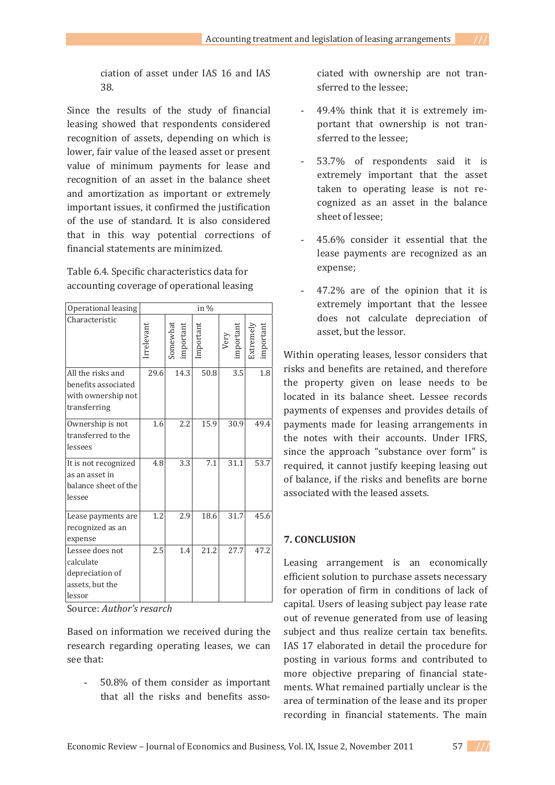ciation of asset under IAS 16 and IAS  $38.$ 

Since the results of the study of financial leasing showed that respondents considered recognition of assets, depending on which is lower, fair value of the leased asset or present value of minimum payments for lease and recognition of an asset in the balance sheet and amortization as important or extremely important issues, it confirmed the justification of the use of standard. It is also considered that in this way potential corrections of financial statements are minimized.

Table 6.4. Specific characteristics data for accounting coverage of operational leasing

| Operational leasing                                                                          |                   |                      | in $%$   |                  |                        |
|----------------------------------------------------------------------------------------------|-------------------|----------------------|----------|------------------|------------------------|
| Characteristic                                                                               | <b>Irrelevant</b> | Somewhat<br>mportant | mportant | Very<br>mportant | important<br>Extremely |
| All the risks and<br>benefits associated<br>with ownership not<br>transferring               | 29.6              | 14.3                 | 50.8     | 3.5              | 1.8                    |
| Ownership is not<br>transferred to the<br>lessees                                            | 1.6               | 2.2                  | 15.9     | 30.9             | 49.4                   |
| It is not recognized<br>as an asset in<br>balance sheet of the<br>lessee                     | 4.8               | 3.3                  | 7.1      | 31.1             | 53.7                   |
| Lease payments are<br>recognized as an<br>expense                                            | 1.2               | 2.9                  | 18.6     | 31.7             | 45.6                   |
| Lessee does not<br>calculate<br>depreciation of<br>assets, but the<br>lessor<br>$\mathbf{r}$ | 2.5               | 1.4                  | 21.2     | 27.7             | 47.2                   |

ǣ*Author's resarch*

Based on information we received during the research regarding operating leases, we can see that:

50.8% of them consider as important that all the risks and benefits associated with ownership are not transferred to the lessee:

- 49.4% think that it is extremely important that ownership is not transferred to the lessee:
- 53.7% of respondents said it is extremely important that the asset taken to operating lease is not recognized as an asset in the balance sheet of lessee:
- 45.6% consider it essential that the lease payments are recognized as an expense;
- 47.2% are of the opinion that it is extremely important that the lessee does not calculate depreciation of asset, but the lessor.

Within operating leases, lessor considers that risks and benefits are retained, and therefore the property given on lease needs to be located in its balance sheet. Lessee records payments of expenses and provides details of payments made for leasing arrangements in the notes with their accounts. Under IFRS. since the approach "substance over form" is required, it cannot justify keeping leasing out of balance, if the risks and benefits are borne associated with the leased assets.

#### **7. CONCLUSION**

Leasing arrangement is an economically efficient solution to purchase assets necessary for operation of firm in conditions of lack of capital. Users of leasing subject pay lease rate out of revenue generated from use of leasing subject and thus realize certain tax benefits. IAS 17 elaborated in detail the procedure for posting in various forms and contributed to more objective preparing of financial statements. What remained partially unclear is the area of termination of the lease and its proper recording in financial statements. The main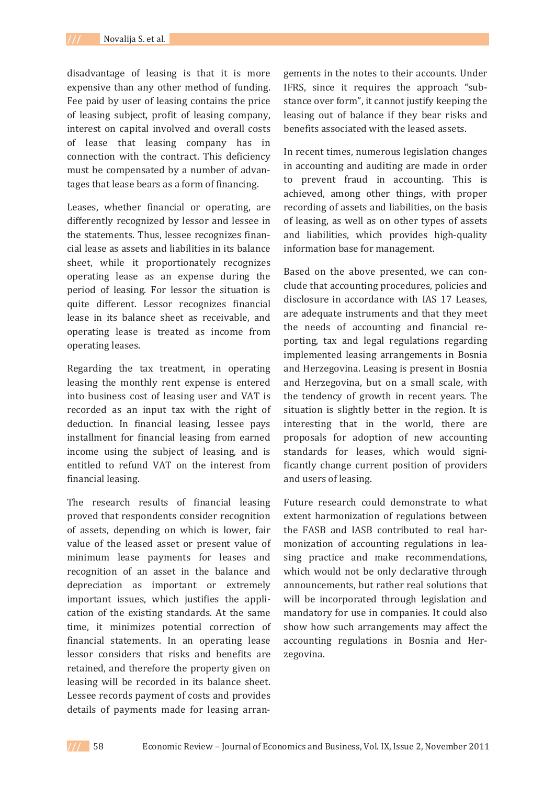disadvantage of leasing is that it is more expensive than any other method of funding. Fee paid by user of leasing contains the price of leasing subject, profit of leasing company, interest on capital involved and overall costs of lease that leasing company has in connection with the contract. This deficiency must be compensated by a number of advantages that lease bears as a form of financing.

Leases, whether financial or operating, are differently recognized by lessor and lessee in the statements. Thus, lessee recognizes financial lease as assets and liabilities in its balance sheet, while it proportionately recognizes operating lease as an expense during the period of leasing. For lessor the situation is quite different. Lessor recognizes financial lease in its balance sheet as receivable, and operating lease is treated as income from operating leases.

Regarding the tax treatment, in operating leasing the monthly rent expense is entered into business cost of leasing user and VAT is recorded as an input tax with the right of deduction. In financial leasing, lessee pays installment for financial leasing from earned income using the subject of leasing, and is entitled to refund VAT on the interest from financial leasing.

The research results of financial leasing proved that respondents consider recognition of assets, depending on which is lower, fair value of the leased asset or present value of minimum lease payments for leases and recognition of an asset in the balance and depreciation as important or extremely important issues, which justifies the application of the existing standards. At the same time, it minimizes potential correction of financial statements. In an operating lease lessor considers that risks and benefits are retained, and therefore the property given on leasing will be recorded in its balance sheet. Lessee records payment of costs and provides details of payments made for leasing arran-

gements in the notes to their accounts. Under IFRS, since it requires the approach "substance over form", it cannot justify keeping the leasing out of balance if they bear risks and benefits associated with the leased assets.

In recent times, numerous legislation changes in accounting and auditing are made in order to prevent fraud in accounting. This is achieved, among other things, with proper recording of assets and liabilities, on the basis of leasing, as well as on other types of assets and liabilities, which provides high-quality information base for management.

Based on the above presented, we can conclude that accounting procedures, policies and disclosure in accordance with IAS 17 Leases, are adequate instruments and that they meet the needs of accounting and financial reporting, tax and legal regulations regarding implemented leasing arrangements in Bosnia and Herzegovina. Leasing is present in Bosnia and Herzegovina, but on a small scale, with the tendency of growth in recent years. The situation is slightly better in the region. It is interesting that in the world, there are proposals for adoption of new accounting standards for leases, which would significantly change current position of providers and users of leasing.

Future research could demonstrate to what extent harmonization of regulations between the FASB and IASB contributed to real harmonization of accounting regulations in leasing practice and make recommendations, which would not be only declarative through announcements, but rather real solutions that will be incorporated through legislation and mandatory for use in companies. It could also show how such arrangements may affect the accounting regulations in Bosnia and Herzegovina.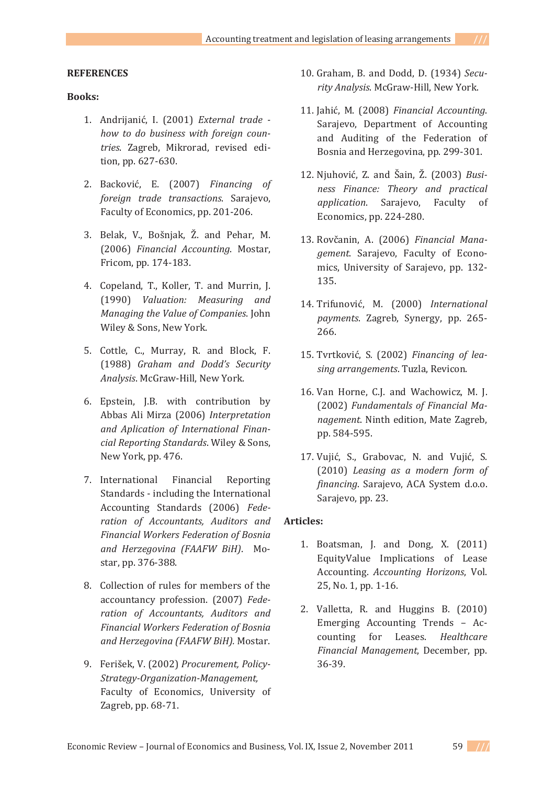### **REFERENCES**

### **Books:**

- 1. Andrijanić, I. (2001) *External trade how to do business with foreign counǦ* tries. Zagreb, Mikrorad, revised edition, pp. 627-630.
- 2. Backović, E. (2007) Financing of *foreign trade transactions*. Sarajevo, Faculty of Economics, pp. 201-206.
- 3. Belak, V., Bošnjak, Ž. and Pehar, M.  $(2006)$  *Financial Accounting*. Mostar, Fricom, pp. 174-183.
- 4. Copeland, T., Koller, T. and Murrin, J. ȋͳͻͻͲȌ *Valuation: Measuring and Managing the Value of Companies*. John Wiley & Sons, New York.
- 5. Cottle, C., Murray, R. and Block, F. ȋͳͻͺͺȌ *Graham and Dodd's Security* Analysis. McGraw-Hill, New York.
- 6. Epstein, J.B. with contribution by Abbas Ali Mirza (2006) Interpretation *and Aplication of International FinanǦ cial Reporting Standards*. Wiley & Sons, New York, pp. 476.
- 7. International Financial Reporting Standards - including the International Accounting Standards (2006) Fede*ration of Accountants, Auditors and Financial Workers Federation of Bosnia and Herzegovina (FAAFW BiH)*. Mostar, pp. 376-388.
- 8. Collection of rules for members of the accountancy profession. (2007) Fede*ration of Accountants, Auditors and Financial Workers Federation of Bosnia and Herzegovina (FAAFW BiH).* Mostar.
- 9. Ferišek, V. (2002) Procurement, Policy-*StrategyǦOrganizationǦManagement,* Faculty of Economics, University of Zagreb, pp. 68-71.
- 10. Graham, B. and Dodd, D. (1934) Security Analysis. McGraw-Hill, New York.
- 11. Jahić, M. (2008) Financial Accounting. Sarajevo, Department of Accounting and Auditing of the Federation of Bosnia and Herzegovina, pp. 299-301.
- 12. Niuhović, Z. and Šain, Ž. (2003) Busi*ness Finance: Theory and practical application.* Sarajevo, Faculty of Economics, pp. 224-280.
- 13. Rovčanin, A. (2006) Financial Mana*gement.* Sarajevo, Faculty of Economics, University of Sarajevo, pp. 132-135.
- 14. Trifunović, M. (2000) International *payments*. Zagreb, Synergy, pp. 265-266.
- 15. Tvrtković, S. (2002) Financing of lea*sing arrangements*. Tuzla, Revicon.
- 16. Van Horne, C.J. and Wachowicz, M. J.  $(2002)$  *Fundamentals of Financial Management*. Ninth edition, Mate Zagreb, pp. 584-595.
- 17. Vujić, S., Grabovac, N. and Vujić, S.  $(2010)$  *Leasing as a modern form of financing*. Sarajevo, ACA System d.o.o. Sarajevo, pp. 23.

### **Articles:**

- 1. Boatsman, J. and Dong, X. (2011) EquityValue Implications of Lease Accounting. Accounting Horizons, Vol. 25, No. 1, pp. 1-16.
- 2. Valletta, R. and Huggins B. (2010) Emerging Accounting Trends - Accounting for Leases. Healthcare *Financial Management*, December, pp. 36-39.